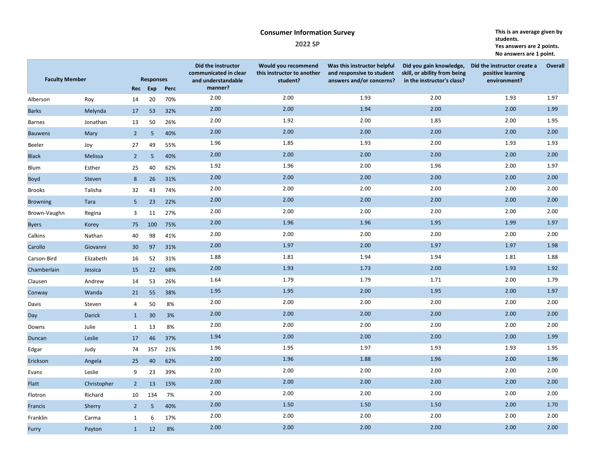|                       |             |                |                             |            |                                                                              | <b>Consumer Information Survey</b><br>2022 SP                 |                                                                                      |                                                            | This is an average given by<br>students.<br>Yes answers are 2 points.<br>No answers are 1 point. |              |
|-----------------------|-------------|----------------|-----------------------------|------------|------------------------------------------------------------------------------|---------------------------------------------------------------|--------------------------------------------------------------------------------------|------------------------------------------------------------|--------------------------------------------------------------------------------------------------|--------------|
| <b>Faculty Member</b> |             |                | <b>Responses</b><br>Rec Exp | Perc       | Did the instructor<br>communicated in clear<br>and understandable<br>manner? | Would you recommend<br>this instructor to another<br>student? | Was this instructor helpful<br>and responsive to student<br>answers and/or concerns? | skill, or ability from being<br>in the instructor's class? | Did you gain knowledge, Did the instructor create a<br>positive learning<br>environment?         | Overall      |
| Alberson              | Roy         | 14             | 20                          | 70%        | 2.00                                                                         | 2.00                                                          | 1.93                                                                                 | 2.00                                                       | 1.93                                                                                             | 1.97         |
| <b>Barks</b>          | Melynda     | 17             | 53                          | 32%        | 2.00                                                                         | 2.00                                                          | 1.94                                                                                 | 2.00                                                       | 2.00                                                                                             | 1.99         |
| Barnes                | Jonathan    | 13             | 50                          | 26%        | 2.00                                                                         | 1.92                                                          | 2.00                                                                                 | 1.85                                                       | 2.00                                                                                             | 1.95         |
| Bauwens               | Mary        | $\overline{2}$ | $5^{\circ}$                 | 40%        | 2.00                                                                         | 2.00                                                          | 2.00                                                                                 | 2.00                                                       | 2.00                                                                                             | 2.00         |
| Beeler                | Joy         | 27             | 49                          | 55%        | 1.96                                                                         | 1.85                                                          | 1.93                                                                                 | 2.00                                                       | 1.93                                                                                             | 1.93         |
| <b>Black</b>          | Melissa     | $\overline{2}$ | $5^{\circ}$                 | 40%        | 2.00                                                                         | 2.00                                                          | 2.00                                                                                 | 2.00                                                       | 2.00                                                                                             | 2.00         |
| Blum                  | Esther      | 25             | 40                          | 62%        | 1.92                                                                         | 1.96                                                          | 2.00                                                                                 | 1.96                                                       | 2.00                                                                                             | 1.97         |
| Boyd                  | Steven      | 8              | 26                          | 31%        | 2.00                                                                         | 2.00                                                          | 2.00                                                                                 | 2.00                                                       | 2.00                                                                                             | 2.00         |
| Brooks                | Talisha     | 32             | 43                          | 74%        | 2.00                                                                         | 2.00                                                          | 2.00                                                                                 | 2.00                                                       | 2.00                                                                                             | 2.00         |
| <b>Browning</b>       | Tara        | 5 <sup>7</sup> | 23                          | 22%        | 2.00                                                                         | 2.00                                                          | 2.00                                                                                 | 2.00                                                       | 2.00                                                                                             | 2.00         |
| Brown-Vaughn          | Regina      |                | $3 \t11$                    | 27%        | 2.00                                                                         | 2.00                                                          | 2.00                                                                                 | 2.00                                                       | 2.00                                                                                             | 2.00         |
| <b>Byers</b>          | Korey       |                |                             | 75 100 75% | 2.00                                                                         | 1.96                                                          | 1.96                                                                                 | 1.95                                                       | 1.99                                                                                             | 1.97         |
| Calkins               | Nathan      | 40             | 98                          | 41%        | 2.00                                                                         | 2.00                                                          | 2.00                                                                                 | 2.00                                                       | 2.00                                                                                             | 2.00         |
| Carollo               | Giovanni    |                | 30 97                       | 31%        | 2.00                                                                         | 1.97                                                          | 2.00                                                                                 | 1.97                                                       | 1.97                                                                                             | 1.98         |
| Carson-Bird           | Elizabeth   |                |                             | 16 52 31%  | 1.88                                                                         | 1.81                                                          | 1.94                                                                                 | 1.94                                                       | 1.81                                                                                             | 1.88         |
| Chamberlain           | Jessica     |                |                             | 15 22 68%  | 2.00                                                                         | 1.93                                                          | 1.73                                                                                 | 2.00                                                       | 1.93                                                                                             | 1.92         |
| Clausen               | Andrew      |                | 14 53                       | 26%        | 1.64                                                                         | 1.79                                                          | 1.79                                                                                 | 1.71                                                       | 2.00                                                                                             | 1.79         |
| Conway                | Wanda       |                | 21 55                       | 38%        | 1.95                                                                         | 1.95                                                          | 2.00                                                                                 | 1.95                                                       | 2.00                                                                                             | 1.97         |
| Davis                 | Steven      |                | 4 50                        | 8%         | 2.00                                                                         | 2.00                                                          | 2.00                                                                                 | 2.00                                                       | 2.00                                                                                             | 2.00         |
| Day                   | Darick      |                | $1 \quad 30$                | 3%         | 2.00                                                                         | 2.00                                                          | 2.00                                                                                 | 2.00                                                       | 2.00                                                                                             | 2.00         |
| Downs                 | Julie       |                | 1 13 8%                     |            | 2.00                                                                         | 2.00                                                          | 2.00                                                                                 | 2.00                                                       | 2.00                                                                                             | 2.00         |
| Duncan                | Leslie      |                |                             | 17 46 37%  | 1.94                                                                         | 2.00                                                          | 2.00                                                                                 | 2.00                                                       | 2.00                                                                                             | 1.99         |
| Edgar                 | Judy        |                |                             | 74 357 21% | 1.96                                                                         | 1.95                                                          | 1.97                                                                                 | 1.93<br>1.96                                               | 1.93                                                                                             | 1.95         |
| Erickson              | Angela      |                |                             | 25 40 62%  | 2.00<br>2.00                                                                 | 1.96<br>2.00                                                  | 1.88<br>2.00                                                                         | 2.00                                                       | 2.00<br>2.00                                                                                     | 1.96<br>2.00 |
| Evans                 | Leslie      |                |                             | 9 23 39%   | 2.00                                                                         | 2.00                                                          | 2.00                                                                                 | 2.00                                                       | 2.00                                                                                             | 2.00         |
| Flatt                 | Christopher |                | $2 \qquad 13$               | 15%        | 2.00                                                                         | 2.00                                                          | 2.00                                                                                 | 2.00                                                       | 2.00                                                                                             | 2.00         |
| Flotron               | Richard     |                | 10 134 7%                   |            | 2.00                                                                         | 1.50                                                          | 1.50                                                                                 | 1.50                                                       | 2.00                                                                                             | 1.70         |
| Francis               | Sherry      |                |                             | 2 5 40%    | 2.00                                                                         | 2.00                                                          | 2.00                                                                                 | 2.00                                                       | 2.00                                                                                             | 2.00         |
| Franklin              | Carma       |                | $1 \t 6$                    | 17%        |                                                                              |                                                               |                                                                                      |                                                            |                                                                                                  |              |
| Furry                 | Payton      |                | $1 \qquad 12 \qquad 8\%$    |            | 2.00                                                                         | 2.00                                                          | 2.00                                                                                 | 2.00                                                       | 2.00                                                                                             | 2.00         |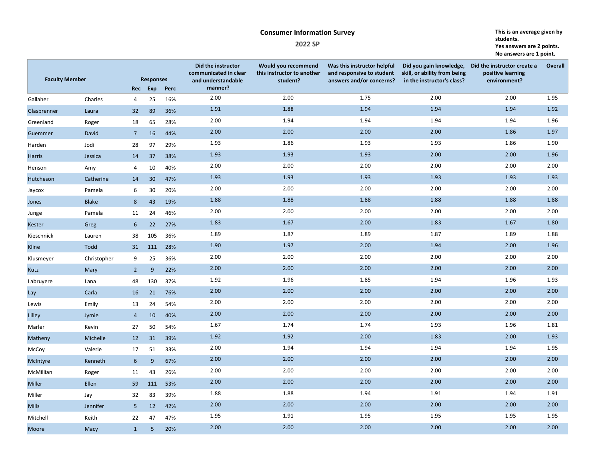|                       |              |                |                             |            |                                                                              | <b>Consumer Information Survey</b><br>2022 SP                 |                                                                                      |                                                            | This is an average given by<br>students.<br>Yes answers are 2 points.<br>No answers are 1 point. |              |
|-----------------------|--------------|----------------|-----------------------------|------------|------------------------------------------------------------------------------|---------------------------------------------------------------|--------------------------------------------------------------------------------------|------------------------------------------------------------|--------------------------------------------------------------------------------------------------|--------------|
| <b>Faculty Member</b> |              |                | <b>Responses</b><br>Rec Exp | Perc       | Did the instructor<br>communicated in clear<br>and understandable<br>manner? | Would you recommend<br>this instructor to another<br>student? | Was this instructor helpful<br>and responsive to student<br>answers and/or concerns? | skill, or ability from being<br>in the instructor's class? | Did you gain knowledge, Did the instructor create a Overall<br>positive learning<br>environment? |              |
| Gallaher              | Charles      |                | 4 25                        | 16%        | 2.00                                                                         | 2.00                                                          | 1.75                                                                                 | 2.00                                                       | 2.00                                                                                             | 1.95         |
| Glasbrenner           | Laura        | 32             | 89                          | 36%        | 1.91                                                                         | 1.88                                                          | 1.94                                                                                 | 1.94                                                       | 1.94                                                                                             | 1.92         |
| Greenland             | Roger        | 18             | 65                          | 28%        | 2.00                                                                         | 1.94                                                          | 1.94                                                                                 | 1.94                                                       | 1.94                                                                                             | 1.96         |
| Guemmer               | David        | 7 <sup>7</sup> | 16                          | 44%        | 2.00                                                                         | 2.00                                                          | 2.00                                                                                 | 2.00                                                       | 1.86                                                                                             | 1.97         |
| Harden                | Jodi         | 28             | 97                          | 29%        | 1.93                                                                         | 1.86                                                          | 1.93                                                                                 | 1.93                                                       | 1.86                                                                                             | 1.90         |
| <b>Harris</b>         | Jessica      | 14             | 37                          | 38%        | 1.93                                                                         | 1.93                                                          | 1.93                                                                                 | 2.00                                                       | 2.00                                                                                             | 1.96         |
| Henson                | Amy          | $\overline{4}$ | 10                          | 40%        | 2.00                                                                         | 2.00                                                          | 2.00                                                                                 | 2.00                                                       | 2.00                                                                                             | 2.00         |
| Hutcheson             | Catherine    | 14             | 30                          | 47%        | 1.93                                                                         | 1.93                                                          | 1.93                                                                                 | 1.93                                                       | 1.93                                                                                             | 1.93         |
| Jaycox                | Pamela       | 6              | 30                          | 20%        | 2.00                                                                         | 2.00                                                          | 2.00                                                                                 | 2.00                                                       | 2.00                                                                                             | 2.00         |
| Jones                 | <b>Blake</b> | 8              | 43                          | 19%        | 1.88                                                                         | 1.88                                                          | 1.88                                                                                 | 1.88                                                       | 1.88                                                                                             | 1.88         |
| Junge                 | Pamela       | 11             | 24                          | 46%        | 2.00                                                                         | 2.00                                                          | 2.00                                                                                 | 2.00                                                       | 2.00                                                                                             | 2.00         |
| Kester                | Greg         | 6              | 22                          | 27%        | 1.83                                                                         | 1.67                                                          | 2.00                                                                                 | 1.83                                                       | 1.67                                                                                             | 1.80         |
| Kieschnick            | Lauren       |                |                             | 38 105 36% | 1.89                                                                         | 1.87                                                          | 1.89                                                                                 | 1.87                                                       | 1.89                                                                                             | 1.88         |
| Kline                 | Todd         |                |                             | 31 111 28% | 1.90                                                                         | 1.97                                                          | 2.00                                                                                 | 1.94                                                       | 2.00                                                                                             | 1.96         |
| Klusmeyer             | Christopher  |                |                             | 9 25 36%   | 2.00                                                                         | 2.00                                                          | 2.00                                                                                 | 2.00                                                       | 2.00                                                                                             | 2.00         |
| Kutz                  | Mary         |                |                             | 2 9 22%    | 2.00                                                                         | 2.00                                                          | 2.00                                                                                 | 2.00                                                       | 2.00                                                                                             | 2.00         |
| Labruyere             | Lana         |                |                             | 48 130 37% | 1.92                                                                         | 1.96                                                          | 1.85                                                                                 | 1.94                                                       | 1.96                                                                                             | 1.93         |
| Lay                   | Carla        |                |                             | 16 21 76%  | 2.00                                                                         | 2.00                                                          | 2.00                                                                                 | 2.00                                                       | 2.00                                                                                             | 2.00         |
| Lewis                 | Emily        |                |                             | 13 24 54%  | 2.00                                                                         | 2.00                                                          | 2.00                                                                                 | 2.00                                                       | 2.00                                                                                             | 2.00         |
| Lilley                | Jymie        |                |                             | 4 10 40%   | 2.00                                                                         | 2.00                                                          | 2.00                                                                                 | 2.00                                                       | 2.00                                                                                             | 2.00         |
| Marler                | Kevin        |                |                             | 27 50 54%  | 1.67                                                                         | 1.74                                                          | 1.74                                                                                 | 1.93<br>1.83                                               | 1.96                                                                                             | 1.81         |
| Matheny               | Michelle     |                |                             | 12 31 39%  | 1.92                                                                         | 1.92<br>1.94                                                  | 2.00                                                                                 | 1.94                                                       | 2.00                                                                                             | 1.93         |
| McCoy                 | Valerie      |                |                             | 17 51 33%  | 2.00                                                                         |                                                               | 1.94                                                                                 | 2.00                                                       | 1.94                                                                                             | 1.95         |
| McIntyre              | Kenneth      |                | $6\qquad 9$                 | 67%        | 2.00<br>2.00                                                                 | 2.00<br>2.00                                                  | 2.00<br>2.00                                                                         | 2.00                                                       | 2.00<br>2.00                                                                                     | 2.00<br>2.00 |
| McMillian             | Roger        |                | 11 43                       | 26%        | 2.00                                                                         | 2.00                                                          | 2.00                                                                                 | 2.00                                                       | 2.00                                                                                             | 2.00         |
| Miller                | Ellen        |                |                             | 59 111 53% | 1.88                                                                         | 1.88                                                          | 1.94                                                                                 | 1.91                                                       | 1.94                                                                                             | 1.91         |
| Miller                | Jay          |                |                             | 32 83 39%  | 2.00                                                                         | 2.00                                                          | 2.00                                                                                 | 2.00                                                       | 2.00                                                                                             | 2.00         |
| <b>Mills</b>          | Jennifer     |                |                             | 5 12 42%   | 1.95                                                                         | 1.91                                                          | 1.95                                                                                 | 1.95                                                       | 1.95                                                                                             | 1.95         |
| Mitchell              | Keith        |                |                             | 22 47 47%  |                                                                              |                                                               | 2.00                                                                                 |                                                            |                                                                                                  |              |
| Moore                 | Macy         |                |                             | 1 5 20%    | 2.00                                                                         | 2.00                                                          |                                                                                      | 2.00                                                       | 2.00                                                                                             | 2.00         |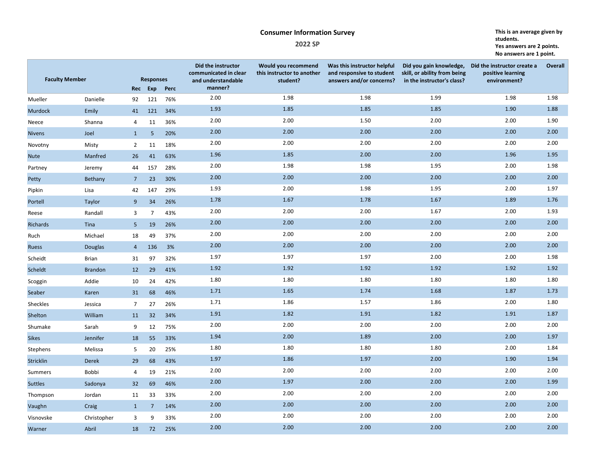|                       |             |                 |                  |                  |                                                                              | <b>Consumer Information Survey</b><br>2022 SP                 |                                                                                      |                                                            | This is an average given by<br>students.<br>Yes answers are 2 points.<br>No answers are 1 point. |      |
|-----------------------|-------------|-----------------|------------------|------------------|------------------------------------------------------------------------------|---------------------------------------------------------------|--------------------------------------------------------------------------------------|------------------------------------------------------------|--------------------------------------------------------------------------------------------------|------|
| <b>Faculty Member</b> |             |                 | <b>Responses</b> | Rec Exp Perc     | Did the instructor<br>communicated in clear<br>and understandable<br>manner? | Would you recommend<br>this instructor to another<br>student? | Was this instructor helpful<br>and responsive to student<br>answers and/or concerns? | skill, or ability from being<br>in the instructor's class? | Did you gain knowledge, Did the instructor create a Overall<br>positive learning<br>environment? |      |
| Mueller               | Danielle    |                 |                  | 92 121 76%       | 2.00                                                                         | 1.98                                                          | 1.98                                                                                 | 1.99                                                       | 1.98                                                                                             | 1.98 |
| Murdock               | Emily       |                 |                  | 41 121 34%       | 1.93                                                                         | 1.85                                                          | 1.85                                                                                 | 1.85                                                       | 1.90                                                                                             | 1.88 |
| Neece                 | Shanna      |                 | 4 11             | 36%              | 2.00                                                                         | 2.00                                                          | 1.50                                                                                 | 2.00                                                       | 2.00                                                                                             | 1.90 |
| <b>Nivens</b>         | Joel        |                 | $1 \quad 5$      | 20%              | 2.00                                                                         | 2.00                                                          | 2.00                                                                                 | 2.00                                                       | 2.00                                                                                             | 2.00 |
| Novotny               | Misty       |                 | $2 \t 11$        | 18%              | 2.00                                                                         | 2.00                                                          | 2.00                                                                                 | 2.00                                                       | 2.00                                                                                             | 2.00 |
| <b>Nute</b>           | Manfred     | 26              | 41               | 63%              | 1.96                                                                         | 1.85                                                          | 2.00                                                                                 | 2.00                                                       | 1.96                                                                                             | 1.95 |
| Partney               | Jeremy      | 44              | 157              | 28%              | 2.00                                                                         | 1.98                                                          | 1.98                                                                                 | 1.95                                                       | 2.00                                                                                             | 1.98 |
| Petty                 | Bethany     | $7\overline{ }$ | 23               | 30%              | 2.00                                                                         | 2.00                                                          | 2.00                                                                                 | 2.00                                                       | 2.00                                                                                             | 2.00 |
| Pipkin                | Lisa        | 42              | 147              | 29%              | 1.93                                                                         | 2.00                                                          | 1.98                                                                                 | 1.95                                                       | 2.00                                                                                             | 1.97 |
| Portell               | Taylor      | 9               | 34               | 26%              | 1.78                                                                         | 1.67                                                          | 1.78                                                                                 | 1.67                                                       | 1.89                                                                                             | 1.76 |
| Reese                 | Randall     | 3               | $\overline{7}$   | 43%              | 2.00                                                                         | 2.00                                                          | 2.00                                                                                 | 1.67                                                       | 2.00                                                                                             | 1.93 |
| Richards              | Tina        | 5 <sup>5</sup>  | 19               | 26%              | 2.00                                                                         | 2.00                                                          | 2.00                                                                                 | 2.00                                                       | 2.00                                                                                             | 2.00 |
| Ruch                  | Michael     |                 | 18 49            | 37%              | 2.00                                                                         | 2.00                                                          | 2.00                                                                                 | 2.00                                                       | 2.00                                                                                             | 2.00 |
| Ruess                 | Douglas     |                 | 4 136 3%         |                  | 2.00                                                                         | 2.00                                                          | 2.00                                                                                 | 2.00                                                       | 2.00                                                                                             | 2.00 |
| Scheidt               | Brian       |                 | 31 97            | 32%              | 1.97                                                                         | 1.97                                                          | 1.97                                                                                 | 2.00                                                       | 2.00                                                                                             | 1.98 |
| Scheldt               | Brandon     |                 |                  | 12 29 41%        | 1.92                                                                         | 1.92                                                          | 1.92                                                                                 | 1.92                                                       | 1.92                                                                                             | 1.92 |
| Scoggin               | Addie       |                 |                  | 10 24 42%        | 1.80                                                                         | 1.80                                                          | 1.80                                                                                 | 1.80                                                       | 1.80                                                                                             | 1.80 |
| Seaber                | Karen       |                 | 31 68            | 46%              | 1.71                                                                         | 1.65                                                          | 1.74                                                                                 | 1.68                                                       | 1.87                                                                                             | 1.73 |
| Sheckles              | Jessica     |                 |                  | 7 27 26%         | 1.71                                                                         | 1.86                                                          | 1.57                                                                                 | 1.86                                                       | 2.00                                                                                             | 1.80 |
| Shelton               | William     |                 |                  | 11 32 34%        | 1.91                                                                         | 1.82                                                          | 1.91                                                                                 | 1.82                                                       | 1.91                                                                                             | 1.87 |
| Shumake               | Sarah       |                 |                  | 9 12 75%         | 2.00                                                                         | 2.00                                                          | 2.00                                                                                 | 2.00                                                       | 2.00                                                                                             | 2.00 |
| <b>Sikes</b>          | Jennifer    |                 | 18 55            | 33%              | 1.94                                                                         | 2.00                                                          | 1.89                                                                                 | 2.00                                                       | 2.00                                                                                             | 1.97 |
| Stephens              | Melissa     |                 |                  | 5 20 25%         | 1.80                                                                         | 1.80                                                          | 1.80                                                                                 | 1.80                                                       | 2.00                                                                                             | 1.84 |
| Stricklin             | Derek       | 29              | 68               | 43%              | 1.97                                                                         | 1.86                                                          | 1.97                                                                                 | 2.00                                                       | 1.90                                                                                             | 1.94 |
| Summers               | Bobbi       |                 | 4 19             | 21%              | 2.00                                                                         | 2.00                                                          | 2.00                                                                                 | 2.00                                                       | 2.00                                                                                             | 2.00 |
| <b>Suttles</b>        | Sadonya     | 32              | 69               | 46%              | 2.00                                                                         | 1.97                                                          | 2.00                                                                                 | 2.00                                                       | 2.00                                                                                             | 1.99 |
| Thompson              | Jordan      |                 |                  | 11 33 33%        | 2.00                                                                         | 2.00                                                          | 2.00                                                                                 | 2.00                                                       | 2.00                                                                                             | 2.00 |
| Vaughn                | Craig       |                 |                  | $1 \t 7 \t 14\%$ | 2.00                                                                         | 2.00                                                          | 2.00                                                                                 | 2.00                                                       | 2.00                                                                                             | 2.00 |
| Visnovske             | Christopher |                 | $3^{\circ}$ 9    | 33%              | 2.00                                                                         | 2.00                                                          | 2.00                                                                                 | 2.00                                                       | 2.00                                                                                             | 2.00 |
| Warner                | Abril       |                 |                  | 18 72 25%        | 2.00                                                                         | 2.00                                                          | 2.00                                                                                 | 2.00                                                       | 2.00                                                                                             | 2.00 |